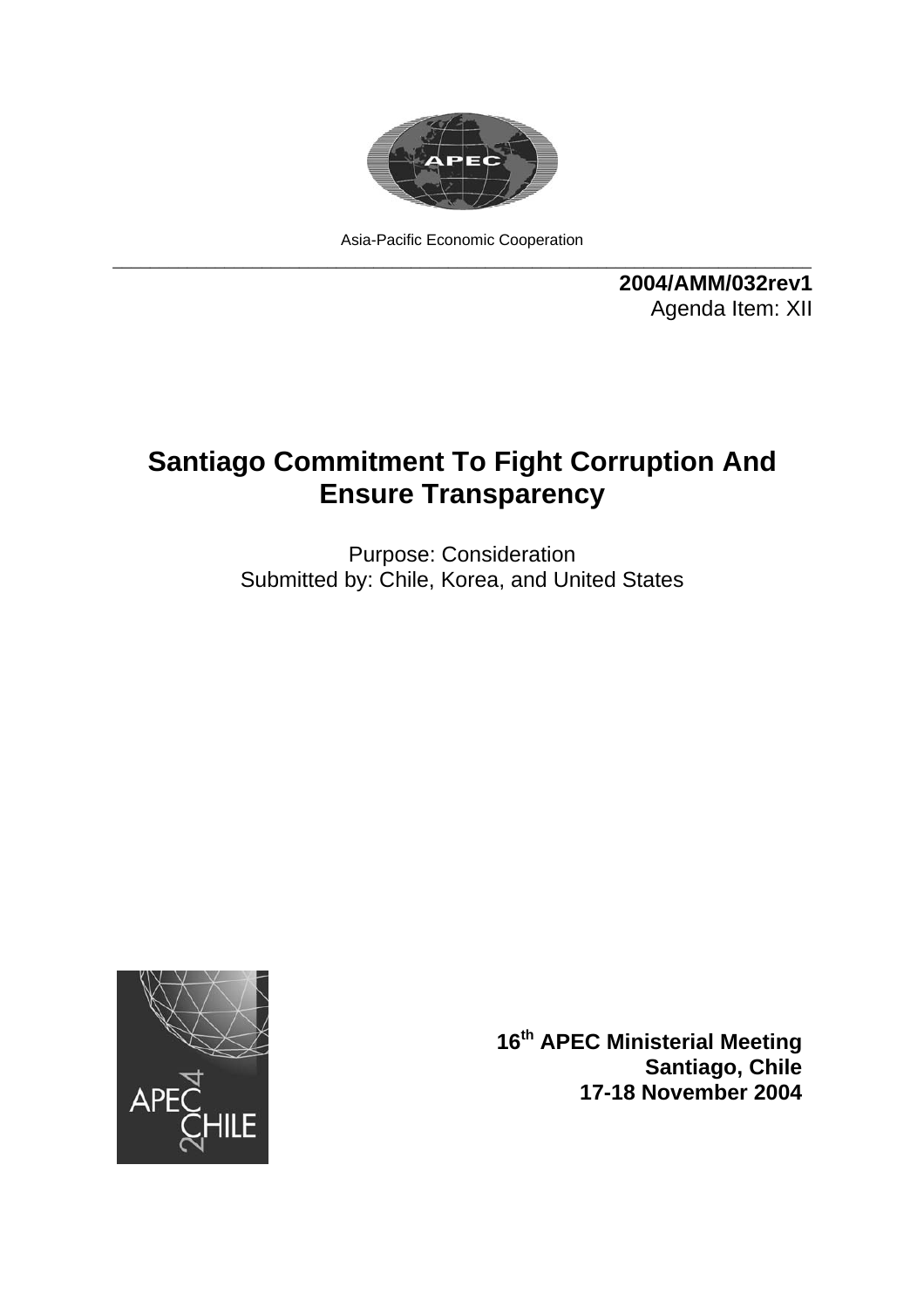

Asia-Pacific Economic Cooperation \_\_\_\_\_\_\_\_\_\_\_\_\_\_\_\_\_\_\_\_\_\_\_\_\_\_\_\_\_\_\_\_\_\_\_\_\_\_\_\_\_\_\_\_\_\_\_\_\_\_\_\_\_\_\_\_\_\_\_\_\_\_\_\_\_\_\_\_\_\_\_\_\_\_\_

> **2004/AMM/032rev1**  Agenda Item: XII

## **Santiago Commitment To Fight Corruption And Ensure Transparency**

Purpose: Consideration Submitted by: Chile, Korea, and United States



**16th APEC Ministerial Meeting Santiago, Chile 17-18 November 2004**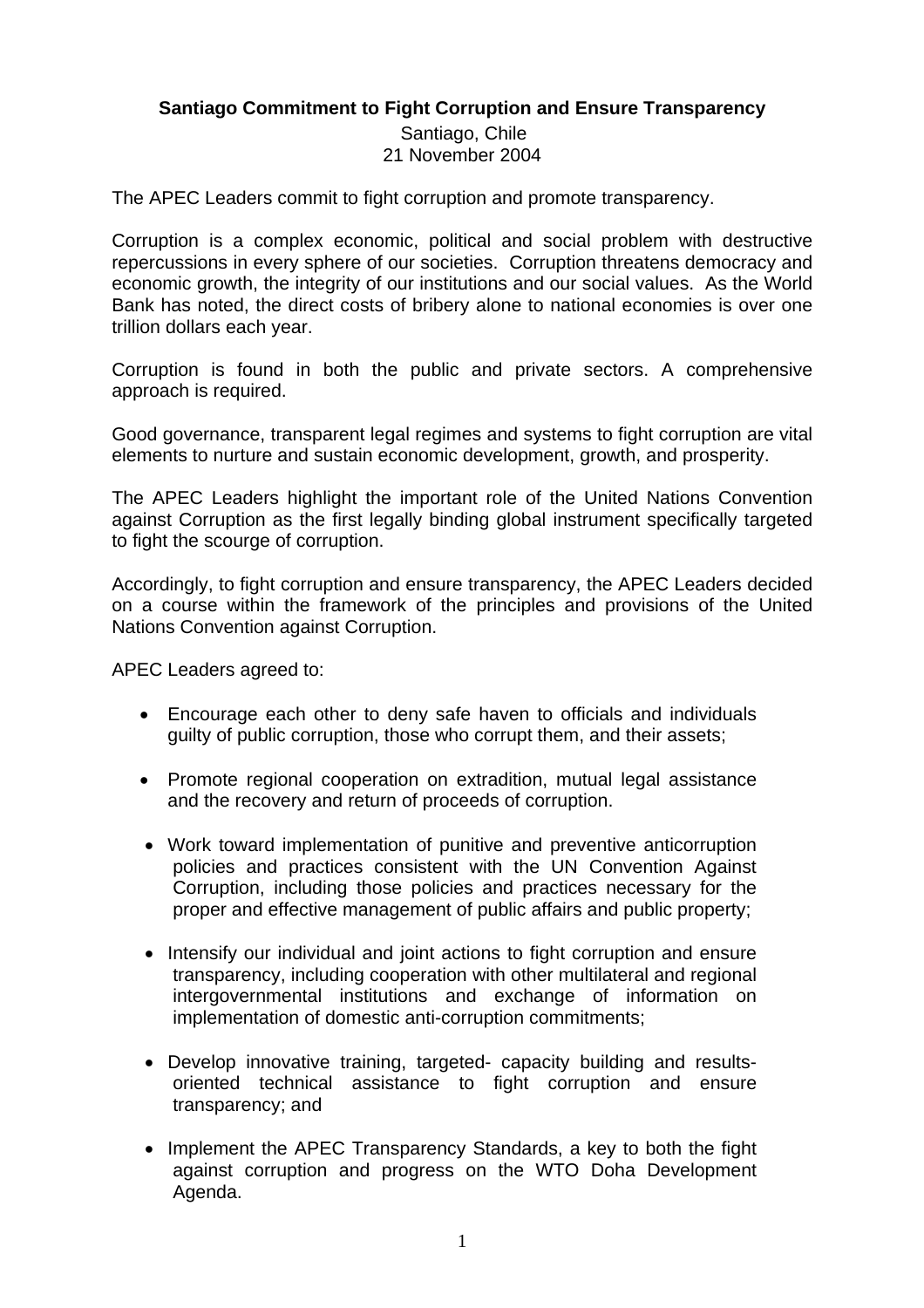## **Santiago Commitment to Fight Corruption and Ensure Transparency**

 Santiago, Chile 21 November 2004

The APEC Leaders commit to fight corruption and promote transparency.

Corruption is a complex economic, political and social problem with destructive repercussions in every sphere of our societies. Corruption threatens democracy and economic growth, the integrity of our institutions and our social values. As the World Bank has noted, the direct costs of bribery alone to national economies is over one trillion dollars each year.

Corruption is found in both the public and private sectors. A comprehensive approach is required.

Good governance, transparent legal regimes and systems to fight corruption are vital elements to nurture and sustain economic development, growth, and prosperity.

The APEC Leaders highlight the important role of the United Nations Convention against Corruption as the first legally binding global instrument specifically targeted to fight the scourge of corruption.

Accordingly, to fight corruption and ensure transparency, the APEC Leaders decided on a course within the framework of the principles and provisions of the United Nations Convention against Corruption.

APEC Leaders agreed to:

- Encourage each other to deny safe haven to officials and individuals guilty of public corruption, those who corrupt them, and their assets;
- Promote regional cooperation on extradition, mutual legal assistance and the recovery and return of proceeds of corruption.
- Work toward implementation of punitive and preventive anticorruption policies and practices consistent with the UN Convention Against Corruption, including those policies and practices necessary for the proper and effective management of public affairs and public property;
- Intensify our individual and joint actions to fight corruption and ensure transparency, including cooperation with other multilateral and regional intergovernmental institutions and exchange of information on implementation of domestic anti-corruption commitments;
- Develop innovative training, targeted- capacity building and resultsoriented technical assistance to fight corruption and ensure transparency; and
- Implement the APEC Transparency Standards, a key to both the fight against corruption and progress on the WTO Doha Development Agenda.